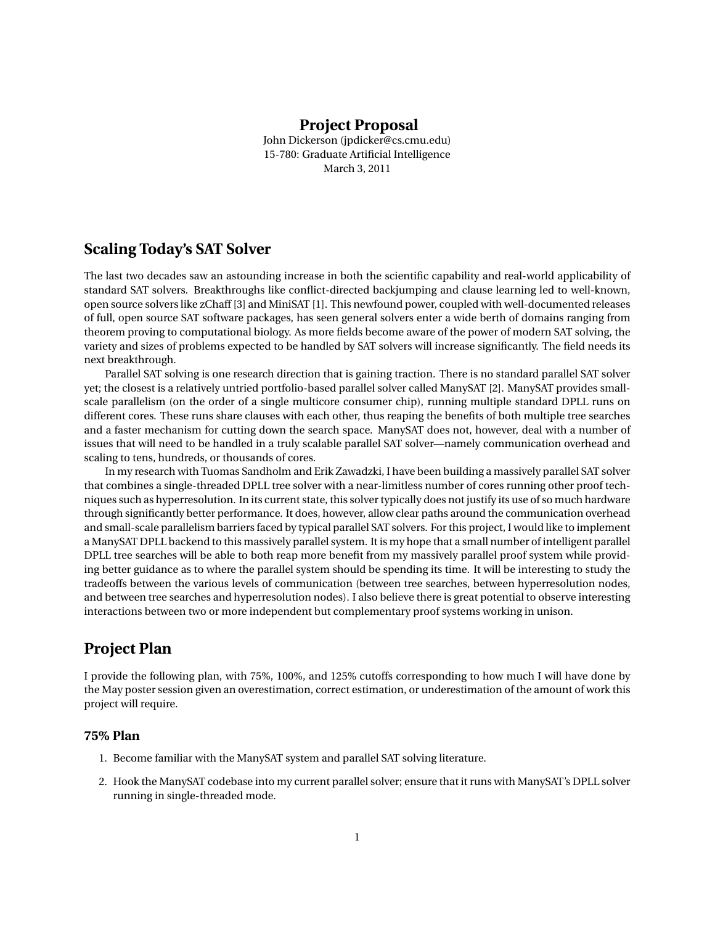### **Project Proposal**

John Dickerson (jpdicker@cs.cmu.edu) 15-780: Graduate Artificial Intelligence March 3, 2011

# **Scaling Today's SAT Solver**

The last two decades saw an astounding increase in both the scientific capability and real-world applicability of standard SAT solvers. Breakthroughs like conflict-directed backjumping and clause learning led to well-known, open source solvers like zChaff [3] and MiniSAT [1]. This newfound power, coupled with well-documented releases of full, open source SAT software packages, has seen general solvers enter a wide berth of domains ranging from theorem proving to computational biology. As more fields become aware of the power of modern SAT solving, the variety and sizes of problems expected to be handled by SAT solvers will increase significantly. The field needs its next breakthrough.

Parallel SAT solving is one research direction that is gaining traction. There is no standard parallel SAT solver yet; the closest is a relatively untried portfolio-based parallel solver called ManySAT [2]. ManySAT provides smallscale parallelism (on the order of a single multicore consumer chip), running multiple standard DPLL runs on different cores. These runs share clauses with each other, thus reaping the benefits of both multiple tree searches and a faster mechanism for cutting down the search space. ManySAT does not, however, deal with a number of issues that will need to be handled in a truly scalable parallel SAT solver—namely communication overhead and scaling to tens, hundreds, or thousands of cores.

In my research with Tuomas Sandholm and Erik Zawadzki, I have been building a massively parallel SAT solver that combines a single-threaded DPLL tree solver with a near-limitless number of cores running other proof techniques such as hyperresolution. In its current state, this solver typically does not justify its use of so much hardware through significantly better performance. It does, however, allow clear paths around the communication overhead and small-scale parallelism barriers faced by typical parallel SAT solvers. For this project, I would like to implement a ManySAT DPLL backend to this massively parallel system. It is my hope that a small number of intelligent parallel DPLL tree searches will be able to both reap more benefit from my massively parallel proof system while providing better guidance as to where the parallel system should be spending its time. It will be interesting to study the tradeoffs between the various levels of communication (between tree searches, between hyperresolution nodes, and between tree searches and hyperresolution nodes). I also believe there is great potential to observe interesting interactions between two or more independent but complementary proof systems working in unison.

# **Project Plan**

I provide the following plan, with 75%, 100%, and 125% cutoffs corresponding to how much I will have done by the May poster session given an overestimation, correct estimation, or underestimation of the amount of work this project will require.

#### **75% Plan**

- 1. Become familiar with the ManySAT system and parallel SAT solving literature.
- 2. Hook the ManySAT codebase into my current parallel solver; ensure that it runs with ManySAT's DPLL solver running in single-threaded mode.